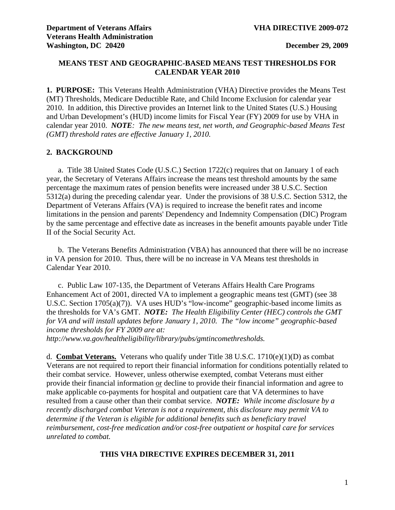## **MEANS TEST AND GEOGRAPHIC-BASED MEANS TEST THRESHOLDS FOR CALENDAR YEAR 2010**

**1. PURPOSE:** This Veterans Health Administration (VHA) Directive provides the Means Test (MT) Thresholds, Medicare Deductible Rate, and Child Income Exclusion for calendar year 2010. In addition, this Directive provides an Internet link to the United States (U.S.) Housing and Urban Development's (HUD) income limits for Fiscal Year (FY) 2009 for use by VHA in calendar year 2010. *NOTE: The new means test, net worth, and Geographic-based Means Test (GMT) threshold rates are effective January 1, 2010.*

### **2. BACKGROUND**

a.Title 38 United States Code (U.S.C.) Section 1722(c) requires that on January 1 of each year, the Secretary of Veterans Affairs increase the means test threshold amounts by the same percentage the maximum rates of pension benefits were increased under 38 U.S.C. Section 5312(a) during the preceding calendar year. Under the provisions of 38 U.S.C. Section 5312, the Department of Veterans Affairs (VA) is required to increase the benefit rates and income limitations in the pension and parents' Dependency and Indemnity Compensation (DIC) Program by the same percentage and effective date as increases in the benefit amounts payable under Title II of the Social Security Act.

 b. The Veterans Benefits Administration (VBA) has announced that there will be no increase in VA pension for 2010. Thus, there will be no increase in VA Means test thresholds in Calendar Year 2010.

 c. Public Law 107-135, the Department of Veterans Affairs Health Care Programs Enhancement Act of 2001, directed VA to implement a geographic means test (GMT) (see 38 U.S.C. Section 1705(a)(7)). VA uses HUD's "low-income" geographic-based income limits as the thresholds for VA's GMT. *NOTE: The Health Eligibility Center (HEC) controls the GMT for VA and will install updates before January 1, 2010. The "low income" geographic-based income thresholds for FY 2009 are at:* 

*<http://www.va.gov/healtheligibility/library/pubs/gmtincomethresholds>.* 

d. **Combat Veterans.** Veterans who qualify under Title 38 U.S.C. 1710(e)(1)(D) as combat Veterans are not required to report their financial information for conditions potentially related to their combat service. However, unless otherwise exempted, combat Veterans must either provide their financial information or decline to provide their financial information and agree to make applicable co-payments for hospital and outpatient care that VA determines to have resulted from a cause other than their combat service. *NOTE: While income disclosure by a recently discharged combat Veteran is not a requirement, this disclosure may permit VA to determine if the Veteran is eligible for additional benefits such as beneficiary travel reimbursement, cost-free medication and/or cost-free outpatient or hospital care for services unrelated to combat.* 

#### **THIS VHA DIRECTIVE EXPIRES DECEMBER 31, 2011**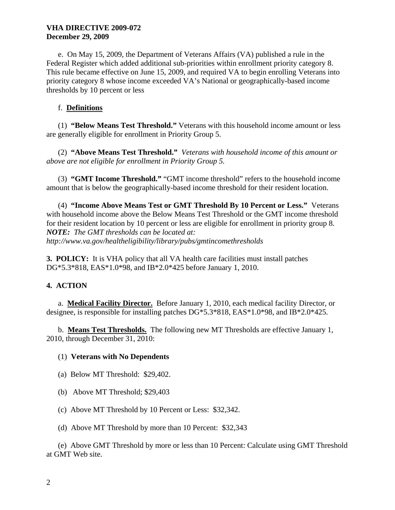## **VHA DIRECTIVE 2009-072 December 29, 2009**

 e. On May 15, 2009, the Department of Veterans Affairs (VA) published a rule in the Federal Register which added additional sub-priorities within enrollment priority category 8. This rule became effective on June 15, 2009, and required VA to begin enrolling Veterans into priority category 8 whose income exceeded VA's National or geographically-based income thresholds by 10 percent or less

## f. **Definitions**

 (1) **"Below Means Test Threshold."** Veterans with this household income amount or less are generally eligible for enrollment in Priority Group 5.

 (2) **"Above Means Test Threshold."** *Veterans with household income of this amount or above are not eligible for enrollment in Priority Group 5.* 

 (3) **"GMT Income Threshold."** "GMT income threshold" refers to the household income amount that is below the geographically-based income threshold for their resident location.

 (4) **"Income Above Means Test or GMT Threshold By 10 Percent or Less."** Veterans with household income above the Below Means Test Threshold or the GMT income threshold for their resident location by 10 percent or less are eligible for enrollment in priority group 8. *NOTE: The GMT thresholds can be located at: <http://www.va.gov/healtheligibility/library/pubs/gmtincomethresholds>*

**3. POLICY:** It is VHA policy that all VA health care facilities must install patches DG\*5.3\*818, EAS\*1.0\*98, and IB\*2.0\*425 before January 1, 2010.

# **4. ACTION**

 a. **Medical Facility Director.** Before January 1, 2010, each medical facility Director, or designee, is responsible for installing patches DG\*5.3\*818, EAS\*1.0\*98, and IB\*2.0\*425.

 b. **Means Test Thresholds.** The following new MT Thresholds are effective January 1, 2010, through December 31, 2010:

### (1) **Veterans with No Dependents**

- (a) Below MT Threshold: \$29,402.
- (b) Above MT Threshold; \$29,403
- (c) Above MT Threshold by 10 Percent or Less: \$32,342.
- (d) Above MT Threshold by more than 10 Percent: \$32,343

 (e) Above GMT Threshold by more or less than 10 Percent: Calculate using GMT Threshold at GMT Web site.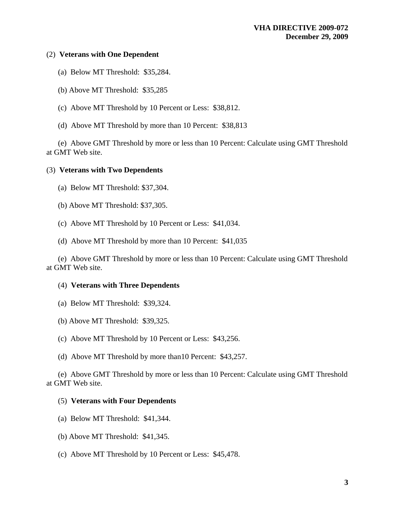### (2) **Veterans with One Dependent**

- (a) Below MT Threshold: \$35,284.
- (b) Above MT Threshold: \$35,285
- (c) Above MT Threshold by 10 Percent or Less: \$38,812.
- (d) Above MT Threshold by more than 10 Percent: \$38,813

 (e) Above GMT Threshold by more or less than 10 Percent: Calculate using GMT Threshold at GMT Web site.

#### (3) **Veterans with Two Dependents**

- (a) Below MT Threshold: \$37,304.
- (b) Above MT Threshold: \$37,305.
- (c) Above MT Threshold by 10 Percent or Less: \$41,034.
- (d) Above MT Threshold by more than 10 Percent: \$41,035

 (e) Above GMT Threshold by more or less than 10 Percent: Calculate using GMT Threshold at GMT Web site.

#### (4) **Veterans with Three Dependents**

- (a) Below MT Threshold: \$39,324.
- (b) Above MT Threshold: \$39,325.
- (c) Above MT Threshold by 10 Percent or Less: \$43,256.
- (d) Above MT Threshold by more than10 Percent: \$43,257.

 (e) Above GMT Threshold by more or less than 10 Percent: Calculate using GMT Threshold at GMT Web site.

#### (5) **Veterans with Four Dependents**

- (a) Below MT Threshold: \$41,344.
- (b) Above MT Threshold: \$41,345.
- (c) Above MT Threshold by 10 Percent or Less: \$45,478.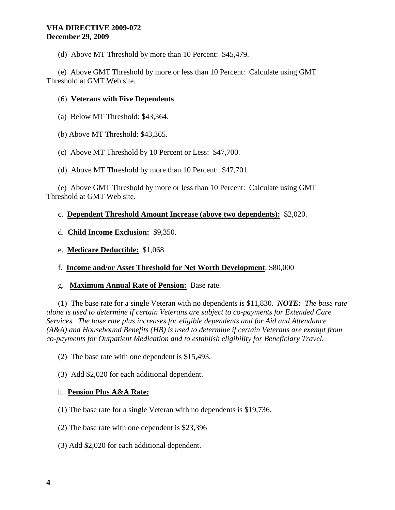(d) Above MT Threshold by more than 10 Percent: \$45,479.

 (e) Above GMT Threshold by more or less than 10 Percent: Calculate using GMT Threshold at GMT Web site.

## (6) **Veterans with Five Dependents**

- (a) Below MT Threshold: \$43,364.
- (b) Above MT Threshold: \$43,365.
- (c) Above MT Threshold by 10 Percent or Less: \$47,700.
- (d) Above MT Threshold by more than 10 Percent: \$47,701.

 (e) Above GMT Threshold by more or less than 10 Percent: Calculate using GMT Threshold at GMT Web site.

## c. **Dependent Threshold Amount Increase (above two dependents):** \$2,020.

- d. **Child Income Exclusion:** \$9,350.
- e. **Medicare Deductible:** \$1,068.
- f. **Income and/or Asset Threshold for Net Worth Development**: \$80,000
- g. **Maximum Annual Rate of Pension:** Base rate.

 (1) The base rate for a single Veteran with no dependents is \$11,830. *NOTE: The base rate alone is used to determine if certain Veterans are subject to co-payments for Extended Care Services. The base rate plus increases for eligible dependents and for Aid and Attendance (A&A) and Housebound Benefits (HB) is used to determine if certain Veterans are exempt from co-payments for Outpatient Medication and to establish eligibility for Beneficiary Travel.* 

(2) The base rate with one dependent is \$15,493.

(3) Add \$2,020 for each additional dependent.

### h. **Pension Plus A&A Rate:**

- (1) The base rate for a single Veteran with no dependents is \$19,736.
- (2) The base rate with one dependent is \$23,396
- (3) Add \$2,020 for each additional dependent.